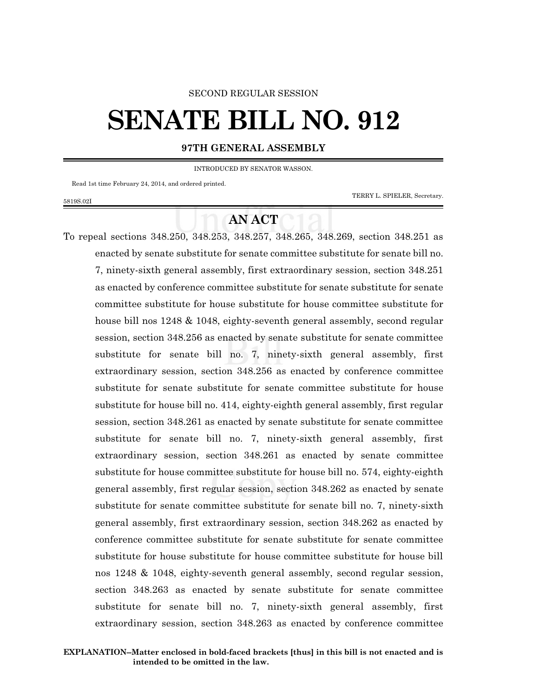### SECOND REGULAR SESSION

# **SENATE BILL NO. 912**

## **97TH GENERAL ASSEMBLY**

INTRODUCED BY SENATOR WASSON.

Read 1st time February 24, 2014, and ordered printed.

5819S.02I

TERRY L. SPIELER, Secretary.

# **AN ACT**

To repeal sections 348.250, 348.253, 348.257, 348.265, 348.269, section 348.251 as enacted by senate substitute for senate committee substitute for senate bill no. 7, ninety-sixth general assembly, first extraordinary session, section 348.251 as enacted by conference committee substitute for senate substitute for senate committee substitute for house substitute for house committee substitute for house bill nos 1248 & 1048, eighty-seventh general assembly, second regular session, section 348.256 as enacted by senate substitute for senate committee substitute for senate bill no. 7, ninety-sixth general assembly, first extraordinary session, section 348.256 as enacted by conference committee substitute for senate substitute for senate committee substitute for house substitute for house bill no. 414, eighty-eighth general assembly, first regular session, section 348.261 as enacted by senate substitute for senate committee substitute for senate bill no. 7, ninety-sixth general assembly, first extraordinary session, section 348.261 as enacted by senate committee substitute for house committee substitute for house bill no. 574, eighty-eighth general assembly, first regular session, section 348.262 as enacted by senate substitute for senate committee substitute for senate bill no. 7, ninety-sixth general assembly, first extraordinary session, section 348.262 as enacted by conference committee substitute for senate substitute for senate committee substitute for house substitute for house committee substitute for house bill nos 1248 & 1048, eighty-seventh general assembly, second regular session, section 348.263 as enacted by senate substitute for senate committee substitute for senate bill no. 7, ninety-sixth general assembly, first extraordinary session, section 348.263 as enacted by conference committee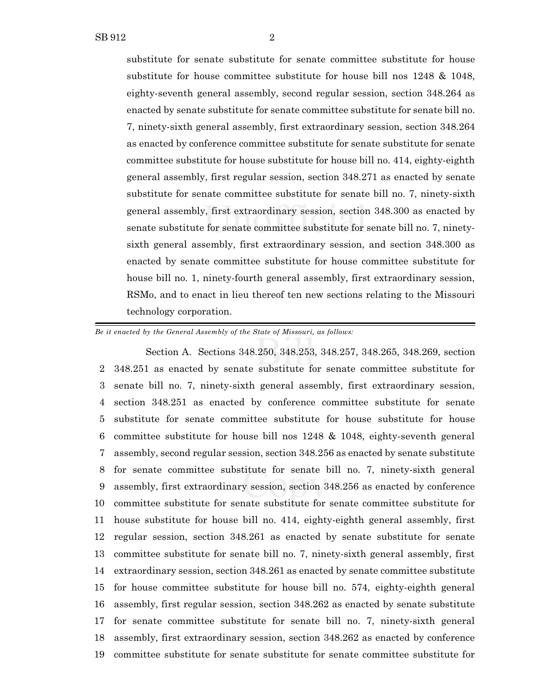substitute for senate substitute for senate committee substitute for house substitute for house committee substitute for house bill nos 1248 & 1048, eighty-seventh general assembly, second regular session, section 348.264 as enacted by senate substitute for senate committee substitute for senate bill no. 7, ninety-sixth general assembly, first extraordinary session, section 348.264 as enacted by conference committee substitute for senate substitute for senate committee substitute for house substitute for house bill no. 414, eighty-eighth general assembly, first regular session, section 348.271 as enacted by senate substitute for senate committee substitute for senate bill no. 7, ninety-sixth general assembly, first extraordinary session, section 348.300 as enacted by senate substitute for senate committee substitute for senate bill no. 7, ninetysixth general assembly, first extraordinary session, and section 348.300 as enacted by senate committee substitute for house committee substitute for house bill no. 1, ninety-fourth general assembly, first extraordinary session, RSMo, and to enact in lieu thereof ten new sections relating to the Missouri technology corporation.

*Be it enacted by the General Assembly of the State of Missouri, as follows:*

Section A. Sections 348.250, 348.253, 348.257, 348.265, 348.269, section 348.251 as enacted by senate substitute for senate committee substitute for senate bill no. 7, ninety-sixth general assembly, first extraordinary session, section 348.251 as enacted by conference committee substitute for senate substitute for senate committee substitute for house substitute for house committee substitute for house bill nos 1248 & 1048, eighty-seventh general assembly, second regular session, section 348.256 as enacted by senate substitute for senate committee substitute for senate bill no. 7, ninety-sixth general assembly, first extraordinary session, section 348.256 as enacted by conference committee substitute for senate substitute for senate committee substitute for house substitute for house bill no. 414, eighty-eighth general assembly, first regular session, section 348.261 as enacted by senate substitute for senate committee substitute for senate bill no. 7, ninety-sixth general assembly, first extraordinary session, section 348.261 as enacted by senate committee substitute for house committee substitute for house bill no. 574, eighty-eighth general assembly, first regular session, section 348.262 as enacted by senate substitute for senate committee substitute for senate bill no. 7, ninety-sixth general assembly, first extraordinary session, section 348.262 as enacted by conference committee substitute for senate substitute for senate committee substitute for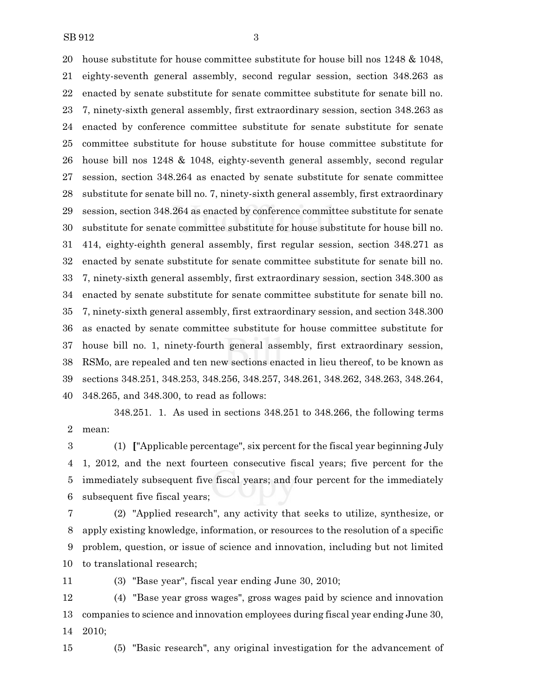house substitute for house committee substitute for house bill nos 1248 & 1048, eighty-seventh general assembly, second regular session, section 348.263 as enacted by senate substitute for senate committee substitute for senate bill no. 7, ninety-sixth general assembly, first extraordinary session, section 348.263 as enacted by conference committee substitute for senate substitute for senate committee substitute for house substitute for house committee substitute for house bill nos 1248 & 1048, eighty-seventh general assembly, second regular session, section 348.264 as enacted by senate substitute for senate committee substitute for senate bill no. 7, ninety-sixth general assembly, first extraordinary session, section 348.264 as enacted by conference committee substitute for senate substitute for senate committee substitute for house substitute for house bill no. 414, eighty-eighth general assembly, first regular session, section 348.271 as enacted by senate substitute for senate committee substitute for senate bill no. 7, ninety-sixth general assembly, first extraordinary session, section 348.300 as enacted by senate substitute for senate committee substitute for senate bill no. 7, ninety-sixth general assembly, first extraordinary session, and section 348.300 as enacted by senate committee substitute for house committee substitute for house bill no. 1, ninety-fourth general assembly, first extraordinary session, RSMo, are repealed and ten new sections enacted in lieu thereof, to be known as sections 348.251, 348.253, 348.256, 348.257, 348.261, 348.262, 348.263, 348.264, 348.265, and 348.300, to read as follows:

348.251. 1. As used in sections 348.251 to 348.266, the following terms mean:

 (1) **[**"Applicable percentage", six percent for the fiscal year beginning July 1, 2012, and the next fourteen consecutive fiscal years; five percent for the immediately subsequent five fiscal years; and four percent for the immediately subsequent five fiscal years;

 (2) "Applied research", any activity that seeks to utilize, synthesize, or apply existing knowledge, information, or resources to the resolution of a specific problem, question, or issue of science and innovation, including but not limited to translational research;

(3) "Base year", fiscal year ending June 30, 2010;

 (4) "Base year gross wages", gross wages paid by science and innovation companies to science and innovation employees during fiscal year ending June 30, 2010;

(5) "Basic research", any original investigation for the advancement of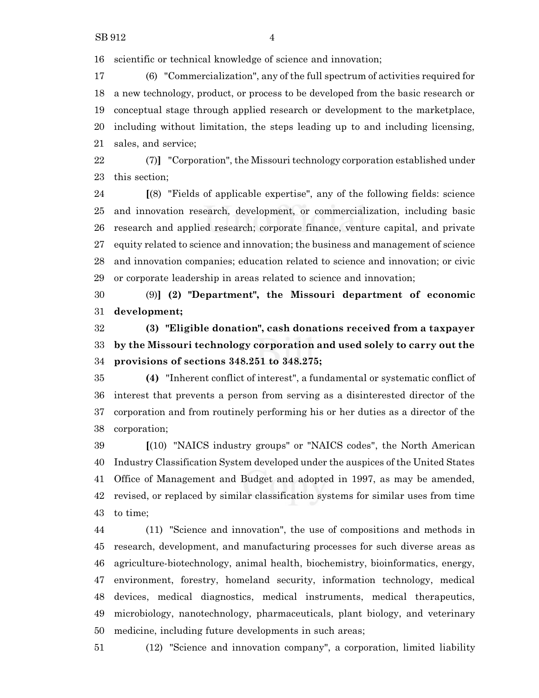scientific or technical knowledge of science and innovation;

 (6) "Commercialization", any of the full spectrum of activities required for a new technology, product, or process to be developed from the basic research or conceptual stage through applied research or development to the marketplace, including without limitation, the steps leading up to and including licensing, sales, and service;

 (7)**]** "Corporation", the Missouri technology corporation established under this section;

 **[**(8) "Fields of applicable expertise", any of the following fields: science and innovation research, development, or commercialization, including basic research and applied research; corporate finance, venture capital, and private equity related to science and innovation; the business and management of science and innovation companies; education related to science and innovation; or civic or corporate leadership in areas related to science and innovation;

 (9)**] (2) "Department", the Missouri department of economic development;**

 **(3) "Eligible donation", cash donations received from a taxpayer by the Missouri technology corporation and used solely to carry out the provisions of sections 348.251 to 348.275;**

 **(4)** "Inherent conflict of interest", a fundamental or systematic conflict of interest that prevents a person from serving as a disinterested director of the corporation and from routinely performing his or her duties as a director of the corporation;

 **[**(10) "NAICS industry groups" or "NAICS codes", the North American Industry Classification System developed under the auspices of the United States Office of Management and Budget and adopted in 1997, as may be amended, revised, or replaced by similar classification systems for similar uses from time to time;

 (11) "Science and innovation", the use of compositions and methods in research, development, and manufacturing processes for such diverse areas as agriculture-biotechnology, animal health, biochemistry, bioinformatics, energy, environment, forestry, homeland security, information technology, medical devices, medical diagnostics, medical instruments, medical therapeutics, microbiology, nanotechnology, pharmaceuticals, plant biology, and veterinary medicine, including future developments in such areas;

(12) "Science and innovation company", a corporation, limited liability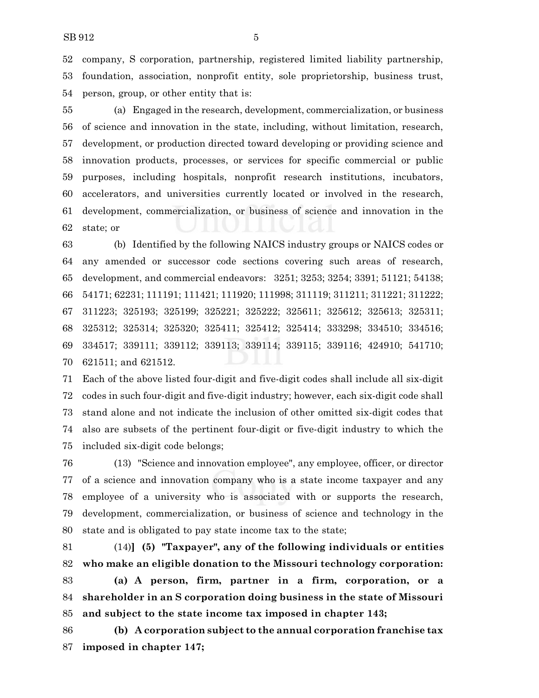company, S corporation, partnership, registered limited liability partnership, foundation, association, nonprofit entity, sole proprietorship, business trust, person, group, or other entity that is:

 (a) Engaged in the research, development, commercialization, or business of science and innovation in the state, including, without limitation, research, development, or production directed toward developing or providing science and innovation products, processes, or services for specific commercial or public purposes, including hospitals, nonprofit research institutions, incubators, accelerators, and universities currently located or involved in the research, development, commercialization, or business of science and innovation in the state; or

 (b) Identified by the following NAICS industry groups or NAICS codes or any amended or successor code sections covering such areas of research, development, and commercial endeavors: 3251; 3253; 3254; 3391; 51121; 54138; 54171; 62231; 111191; 111421; 111920; 111998; 311119; 311211; 311221; 311222; 311223; 325193; 325199; 325221; 325222; 325611; 325612; 325613; 325311; 325312; 325314; 325320; 325411; 325412; 325414; 333298; 334510; 334516; 334517; 339111; 339112; 339113; 339114; 339115; 339116; 424910; 541710; 621511; and 621512.

 Each of the above listed four-digit and five-digit codes shall include all six-digit codes in such four-digit and five-digit industry; however, each six-digit code shall stand alone and not indicate the inclusion of other omitted six-digit codes that also are subsets of the pertinent four-digit or five-digit industry to which the included six-digit code belongs;

 (13) "Science and innovation employee", any employee, officer, or director of a science and innovation company who is a state income taxpayer and any employee of a university who is associated with or supports the research, development, commercialization, or business of science and technology in the state and is obligated to pay state income tax to the state;

 (14)**] (5) "Taxpayer", any of the following individuals or entities who make an eligible donation to the Missouri technology corporation:**

 **(a) A person, firm, partner in a firm, corporation, or a shareholder in an S corporation doing business in the state of Missouri and subject to the state income tax imposed in chapter 143;**

 **(b) A corporation subject to the annual corporation franchise tax imposed in chapter 147;**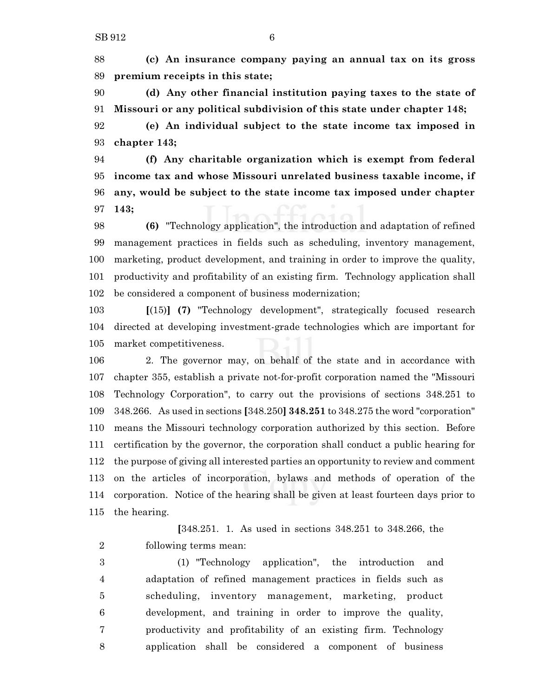**(c) An insurance company paying an annual tax on its gross premium receipts in this state;**

 **(d) Any other financial institution paying taxes to the state of Missouri or any political subdivision of this state under chapter 148;**

 **(e) An individual subject to the state income tax imposed in chapter 143;**

 **(f) Any charitable organization which is exempt from federal income tax and whose Missouri unrelated business taxable income, if any, would be subject to the state income tax imposed under chapter 143;**

 **(6)** "Technology application", the introduction and adaptation of refined management practices in fields such as scheduling, inventory management, marketing, product development, and training in order to improve the quality, productivity and profitability of an existing firm. Technology application shall be considered a component of business modernization;

 **[**(15)**] (7)** "Technology development", strategically focused research directed at developing investment-grade technologies which are important for market competitiveness.

 2. The governor may, on behalf of the state and in accordance with chapter 355, establish a private not-for-profit corporation named the "Missouri Technology Corporation", to carry out the provisions of sections 348.251 to 348.266. As used in sections **[**348.250**] 348.251** to 348.275 the word "corporation" means the Missouri technology corporation authorized by this section. Before certification by the governor, the corporation shall conduct a public hearing for the purpose of giving all interested parties an opportunity to review and comment on the articles of incorporation, bylaws and methods of operation of the corporation. Notice of the hearing shall be given at least fourteen days prior to the hearing.

**[**348.251. 1. As used in sections 348.251 to 348.266, the following terms mean:

 (1) "Technology application", the introduction and adaptation of refined management practices in fields such as scheduling, inventory management, marketing, product development, and training in order to improve the quality, productivity and profitability of an existing firm. Technology application shall be considered a component of business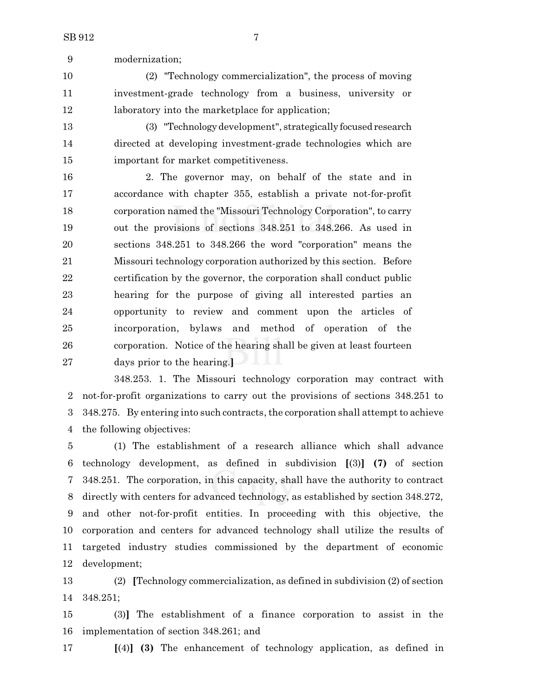modernization;

 (2) "Technology commercialization", the process of moving investment-grade technology from a business, university or laboratory into the marketplace for application;

 (3) "Technologydevelopment", strategically focused research directed at developing investment-grade technologies which are important for market competitiveness.

 2. The governor may, on behalf of the state and in accordance with chapter 355, establish a private not-for-profit corporation named the "Missouri Technology Corporation", to carry out the provisions of sections 348.251 to 348.266. As used in sections 348.251 to 348.266 the word "corporation" means the Missouri technology corporation authorized by this section. Before certification by the governor, the corporation shall conduct public hearing for the purpose of giving all interested parties an opportunity to review and comment upon the articles of incorporation, bylaws and method of operation of the corporation. Notice of the hearing shall be given at least fourteen days prior to the hearing.**]**

348.253. 1. The Missouri technology corporation may contract with not-for-profit organizations to carry out the provisions of sections 348.251 to 3 348.275. By entering into such contracts, the corporation shall attempt to achieve the following objectives:

 (1) The establishment of a research alliance which shall advance technology development, as defined in subdivision **[**(3)**] (7)** of section 348.251. The corporation, in this capacity, shall have the authority to contract directly with centers for advanced technology, as established by section 348.272, and other not-for-profit entities. In proceeding with this objective, the corporation and centers for advanced technology shall utilize the results of targeted industry studies commissioned by the department of economic development;

 (2) **[**Technology commercialization, as defined in subdivision (2) of section 348.251;

 (3)**]** The establishment of a finance corporation to assist in the implementation of section 348.261; and

**[**(4)**] (3)** The enhancement of technology application, as defined in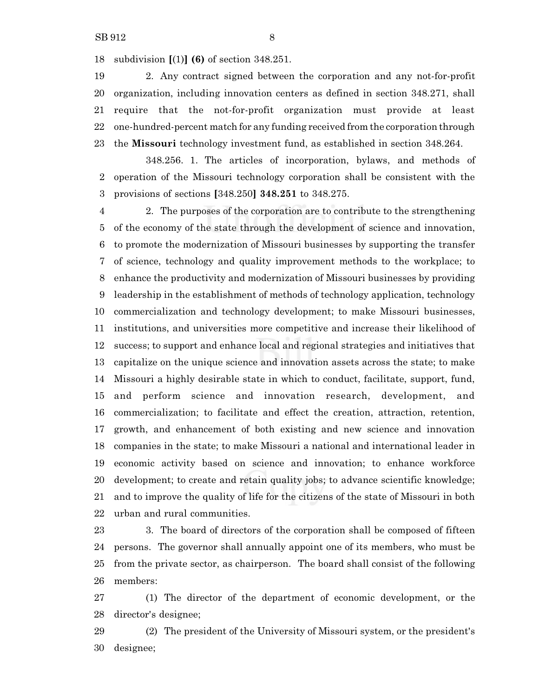subdivision **[**(1)**] (6)** of section 348.251.

 2. Any contract signed between the corporation and any not-for-profit organization, including innovation centers as defined in section 348.271, shall require that the not-for-profit organization must provide at least one-hundred-percent match for any funding received from the corporation through the **Missouri** technology investment fund, as established in section 348.264.

348.256. 1. The articles of incorporation, bylaws, and methods of operation of the Missouri technology corporation shall be consistent with the provisions of sections **[**348.250**] 348.251** to 348.275.

 2. The purposes of the corporation are to contribute to the strengthening of the economy of the state through the development of science and innovation, to promote the modernization of Missouri businesses by supporting the transfer of science, technology and quality improvement methods to the workplace; to enhance the productivity and modernization of Missouri businesses by providing leadership in the establishment of methods of technology application, technology commercialization and technology development; to make Missouri businesses, institutions, and universities more competitive and increase their likelihood of success; to support and enhance local and regional strategies and initiatives that capitalize on the unique science and innovation assets across the state; to make Missouri a highly desirable state in which to conduct, facilitate, support, fund, and perform science and innovation research, development, and commercialization; to facilitate and effect the creation, attraction, retention, growth, and enhancement of both existing and new science and innovation companies in the state; to make Missouri a national and international leader in economic activity based on science and innovation; to enhance workforce development; to create and retain quality jobs; to advance scientific knowledge; and to improve the quality of life for the citizens of the state of Missouri in both urban and rural communities.

23 3. The board of directors of the corporation shall be composed of fifteen persons. The governor shall annually appoint one of its members, who must be from the private sector, as chairperson. The board shall consist of the following members:

 (1) The director of the department of economic development, or the director's designee;

 (2) The president of the University of Missouri system, or the president's designee;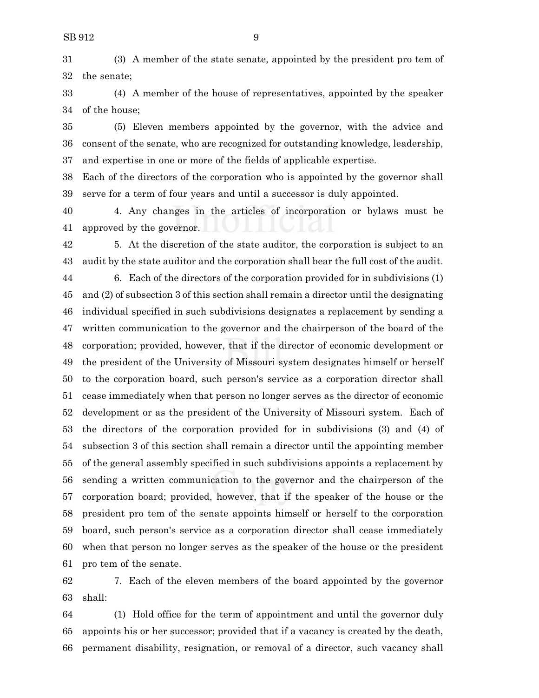(3) A member of the state senate, appointed by the president pro tem of the senate;

 (4) A member of the house of representatives, appointed by the speaker of the house;

 (5) Eleven members appointed by the governor, with the advice and consent of the senate, who are recognized for outstanding knowledge, leadership, and expertise in one or more of the fields of applicable expertise.

 Each of the directors of the corporation who is appointed by the governor shall serve for a term of four years and until a successor is duly appointed.

 4. Any changes in the articles of incorporation or bylaws must be approved by the governor.

 5. At the discretion of the state auditor, the corporation is subject to an audit by the state auditor and the corporation shall bear the full cost of the audit.

 6. Each of the directors of the corporation provided for in subdivisions (1) and (2) of subsection 3 of this section shall remain a director until the designating individual specified in such subdivisions designates a replacement by sending a written communication to the governor and the chairperson of the board of the corporation; provided, however, that if the director of economic development or the president of the University of Missouri system designates himself or herself to the corporation board, such person's service as a corporation director shall cease immediately when that person no longer serves as the director of economic development or as the president of the University of Missouri system. Each of the directors of the corporation provided for in subdivisions (3) and (4) of subsection 3 of this section shall remain a director until the appointing member of the general assembly specified in such subdivisions appoints a replacement by sending a written communication to the governor and the chairperson of the corporation board; provided, however, that if the speaker of the house or the president pro tem of the senate appoints himself or herself to the corporation board, such person's service as a corporation director shall cease immediately when that person no longer serves as the speaker of the house or the president pro tem of the senate.

 7. Each of the eleven members of the board appointed by the governor shall:

 (1) Hold office for the term of appointment and until the governor duly appoints his or her successor; provided that if a vacancy is created by the death, permanent disability, resignation, or removal of a director, such vacancy shall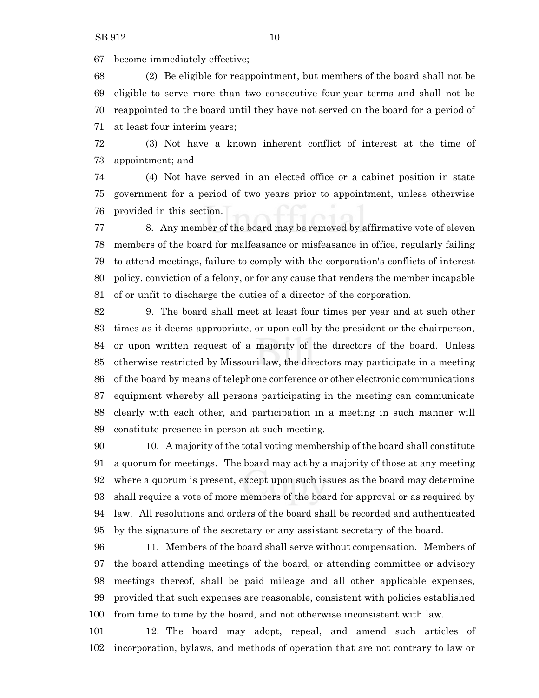become immediately effective;

 (2) Be eligible for reappointment, but members of the board shall not be eligible to serve more than two consecutive four-year terms and shall not be reappointed to the board until they have not served on the board for a period of at least four interim years;

 (3) Not have a known inherent conflict of interest at the time of appointment; and

 (4) Not have served in an elected office or a cabinet position in state government for a period of two years prior to appointment, unless otherwise provided in this section.

 8. Any member of the board may be removed by affirmative vote of eleven members of the board for malfeasance or misfeasance in office, regularly failing to attend meetings, failure to comply with the corporation's conflicts of interest policy, conviction of a felony, or for any cause that renders the member incapable of or unfit to discharge the duties of a director of the corporation.

 9. The board shall meet at least four times per year and at such other times as it deems appropriate, or upon call by the president or the chairperson, or upon written request of a majority of the directors of the board. Unless otherwise restricted by Missouri law, the directors may participate in a meeting of the board by means of telephone conference or other electronic communications equipment whereby all persons participating in the meeting can communicate clearly with each other, and participation in a meeting in such manner will constitute presence in person at such meeting.

 10. A majority of the total voting membership of the board shall constitute a quorum for meetings. The board may act by a majority of those at any meeting where a quorum is present, except upon such issues as the board may determine shall require a vote of more members of the board for approval or as required by law. All resolutions and orders of the board shall be recorded and authenticated by the signature of the secretary or any assistant secretary of the board.

 11. Members of the board shall serve without compensation. Members of the board attending meetings of the board, or attending committee or advisory meetings thereof, shall be paid mileage and all other applicable expenses, provided that such expenses are reasonable, consistent with policies established from time to time by the board, and not otherwise inconsistent with law.

 12. The board may adopt, repeal, and amend such articles of incorporation, bylaws, and methods of operation that are not contrary to law or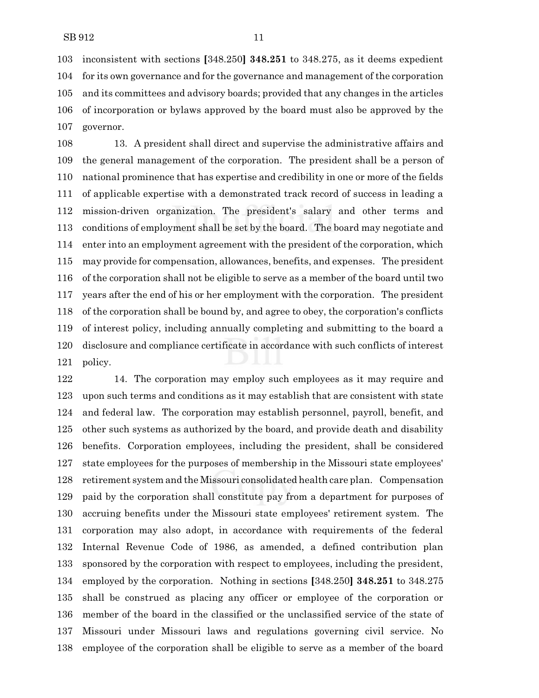inconsistent with sections **[**348.250**] 348.251** to 348.275, as it deems expedient for its own governance and for the governance and management of the corporation and its committees and advisory boards; provided that any changes in the articles of incorporation or bylaws approved by the board must also be approved by the governor.

 13. A president shall direct and supervise the administrative affairs and the general management of the corporation. The president shall be a person of national prominence that has expertise and credibility in one or more of the fields of applicable expertise with a demonstrated track record of success in leading a mission-driven organization. The president's salary and other terms and conditions of employment shall be set by the board. The board may negotiate and enter into an employment agreement with the president of the corporation, which may provide for compensation, allowances, benefits, and expenses. The president of the corporation shall not be eligible to serve as a member of the board until two years after the end of his or her employment with the corporation. The president of the corporation shall be bound by, and agree to obey, the corporation's conflicts of interest policy, including annually completing and submitting to the board a disclosure and compliance certificate in accordance with such conflicts of interest policy.

 14. The corporation may employ such employees as it may require and upon such terms and conditions as it may establish that are consistent with state and federal law. The corporation may establish personnel, payroll, benefit, and other such systems as authorized by the board, and provide death and disability benefits. Corporation employees, including the president, shall be considered state employees for the purposes of membership in the Missouri state employees' retirement system and the Missouri consolidated health care plan. Compensation paid by the corporation shall constitute pay from a department for purposes of accruing benefits under the Missouri state employees' retirement system. The corporation may also adopt, in accordance with requirements of the federal Internal Revenue Code of 1986, as amended, a defined contribution plan sponsored by the corporation with respect to employees, including the president, employed by the corporation. Nothing in sections **[**348.250**] 348.251** to 348.275 shall be construed as placing any officer or employee of the corporation or member of the board in the classified or the unclassified service of the state of Missouri under Missouri laws and regulations governing civil service. No employee of the corporation shall be eligible to serve as a member of the board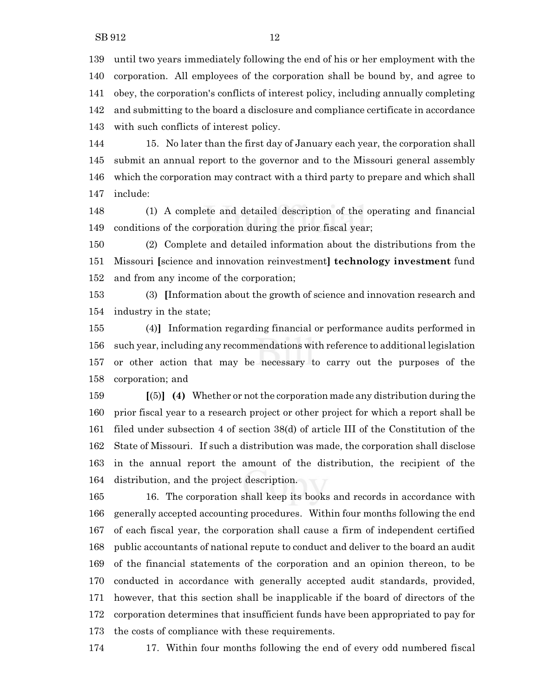until two years immediately following the end of his or her employment with the corporation. All employees of the corporation shall be bound by, and agree to obey, the corporation's conflicts of interest policy, including annually completing and submitting to the board a disclosure and compliance certificate in accordance with such conflicts of interest policy.

 15. No later than the first day of January each year, the corporation shall submit an annual report to the governor and to the Missouri general assembly which the corporation may contract with a third party to prepare and which shall include:

 (1) A complete and detailed description of the operating and financial conditions of the corporation during the prior fiscal year;

 (2) Complete and detailed information about the distributions from the Missouri **[**science and innovation reinvestment**] technology investment** fund and from any income of the corporation;

 (3) **[**Information about the growth of science and innovation research and industry in the state;

 (4)**]** Information regarding financial or performance audits performed in such year, including any recommendations with reference to additional legislation or other action that may be necessary to carry out the purposes of the corporation; and

 **[**(5)**] (4)** Whether or not the corporation made any distribution during the prior fiscal year to a research project or other project for which a report shall be filed under subsection 4 of section 38(d) of article III of the Constitution of the State of Missouri. If such a distribution was made, the corporation shall disclose in the annual report the amount of the distribution, the recipient of the distribution, and the project description.

 16. The corporation shall keep its books and records in accordance with generally accepted accounting procedures. Within four months following the end of each fiscal year, the corporation shall cause a firm of independent certified public accountants of national repute to conduct and deliver to the board an audit of the financial statements of the corporation and an opinion thereon, to be conducted in accordance with generally accepted audit standards, provided, however, that this section shall be inapplicable if the board of directors of the corporation determines that insufficient funds have been appropriated to pay for the costs of compliance with these requirements.

17. Within four months following the end of every odd numbered fiscal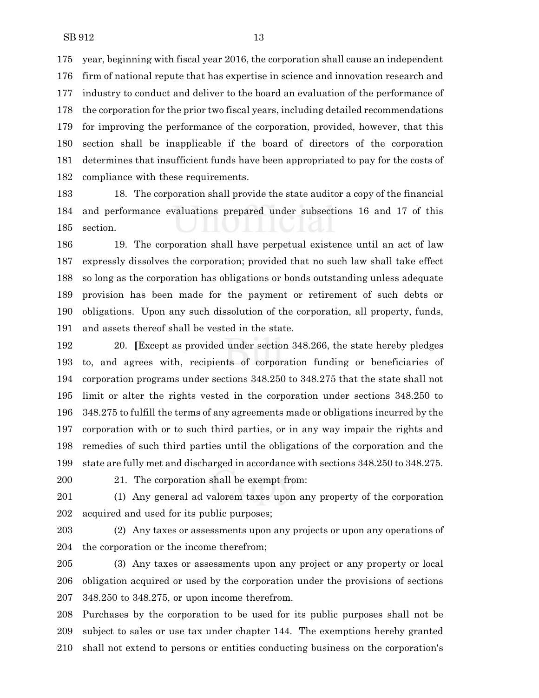year, beginning with fiscal year 2016, the corporation shall cause an independent firm of national repute that has expertise in science and innovation research and industry to conduct and deliver to the board an evaluation of the performance of the corporation for the prior two fiscal years, including detailed recommendations for improving the performance of the corporation, provided, however, that this section shall be inapplicable if the board of directors of the corporation determines that insufficient funds have been appropriated to pay for the costs of compliance with these requirements.

 18. The corporation shall provide the state auditor a copy of the financial and performance evaluations prepared under subsections 16 and 17 of this section.

 19. The corporation shall have perpetual existence until an act of law expressly dissolves the corporation; provided that no such law shall take effect so long as the corporation has obligations or bonds outstanding unless adequate provision has been made for the payment or retirement of such debts or obligations. Upon any such dissolution of the corporation, all property, funds, and assets thereof shall be vested in the state.

 20. **[**Except as provided under section 348.266, the state hereby pledges to, and agrees with, recipients of corporation funding or beneficiaries of corporation programs under sections 348.250 to 348.275 that the state shall not limit or alter the rights vested in the corporation under sections 348.250 to 348.275 to fulfill the terms of any agreements made or obligations incurred by the corporation with or to such third parties, or in any way impair the rights and remedies of such third parties until the obligations of the corporation and the state are fully met and discharged in accordance with sections 348.250 to 348.275.

21. The corporation shall be exempt from:

 (1) Any general ad valorem taxes upon any property of the corporation acquired and used for its public purposes;

 (2) Any taxes or assessments upon any projects or upon any operations of the corporation or the income therefrom;

 (3) Any taxes or assessments upon any project or any property or local obligation acquired or used by the corporation under the provisions of sections 348.250 to 348.275, or upon income therefrom.

 Purchases by the corporation to be used for its public purposes shall not be subject to sales or use tax under chapter 144. The exemptions hereby granted shall not extend to persons or entities conducting business on the corporation's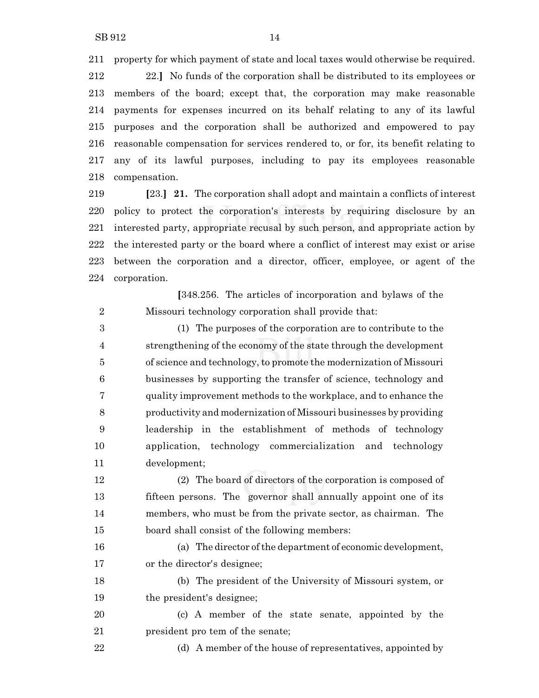property for which payment of state and local taxes would otherwise be required.

 22.**]** No funds of the corporation shall be distributed to its employees or members of the board; except that, the corporation may make reasonable payments for expenses incurred on its behalf relating to any of its lawful purposes and the corporation shall be authorized and empowered to pay reasonable compensation for services rendered to, or for, its benefit relating to any of its lawful purposes, including to pay its employees reasonable compensation.

 **[**23.**] 21.** The corporation shall adopt and maintain a conflicts of interest policy to protect the corporation's interests by requiring disclosure by an interested party, appropriate recusal by such person, and appropriate action by the interested party or the board where a conflict of interest may exist or arise between the corporation and a director, officer, employee, or agent of the corporation.

**[**348.256. The articles of incorporation and bylaws of the Missouri technology corporation shall provide that:

 (1) The purposes of the corporation are to contribute to the strengthening of the economy of the state through the development of science and technology, to promote the modernization of Missouri businesses by supporting the transfer of science, technology and quality improvement methods to the workplace, and to enhance the productivity and modernization of Missouri businesses by providing leadership in the establishment of methods of technology application, technology commercialization and technology development;

 (2) The board of directors of the corporation is composed of fifteen persons. The governor shall annually appoint one of its members, who must be from the private sector, as chairman. The board shall consist of the following members:

16 (a) The director of the department of economic development, or the director's designee;

 (b) The president of the University of Missouri system, or the president's designee;

 (c) A member of the state senate, appointed by the 21 president pro tem of the senate;

22 (d) A member of the house of representatives, appointed by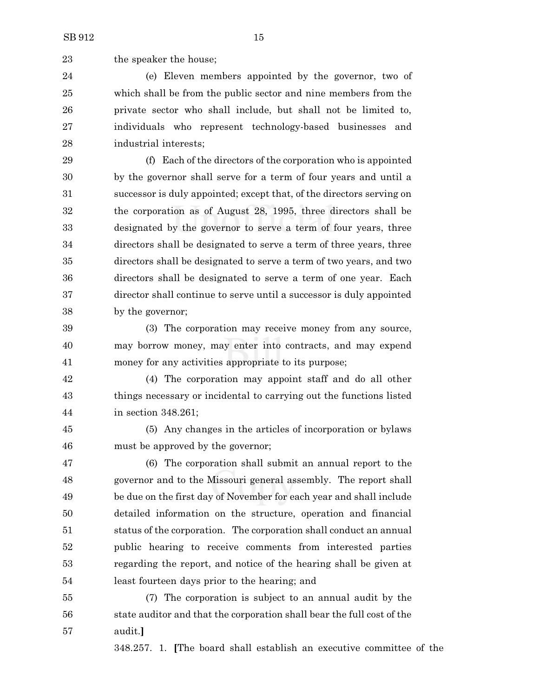23 the speaker the house;

 (e) Eleven members appointed by the governor, two of which shall be from the public sector and nine members from the private sector who shall include, but shall not be limited to, individuals who represent technology-based businesses and industrial interests;

 (f) Each of the directors of the corporation who is appointed by the governor shall serve for a term of four years and until a successor is duly appointed; except that, of the directors serving on the corporation as of August 28, 1995, three directors shall be designated by the governor to serve a term of four years, three directors shall be designated to serve a term of three years, three directors shall be designated to serve a term of two years, and two directors shall be designated to serve a term of one year. Each director shall continue to serve until a successor is duly appointed by the governor;

 (3) The corporation may receive money from any source, may borrow money, may enter into contracts, and may expend money for any activities appropriate to its purpose;

 (4) The corporation may appoint staff and do all other things necessary or incidental to carrying out the functions listed in section 348.261;

 (5) Any changes in the articles of incorporation or bylaws must be approved by the governor;

 (6) The corporation shall submit an annual report to the governor and to the Missouri general assembly. The report shall be due on the first day of November for each year and shall include detailed information on the structure, operation and financial status of the corporation. The corporation shall conduct an annual public hearing to receive comments from interested parties regarding the report, and notice of the hearing shall be given at least fourteen days prior to the hearing; and

 (7) The corporation is subject to an annual audit by the state auditor and that the corporation shall bear the full cost of the audit.**]**

348.257. 1. **[**The board shall establish an executive committee of the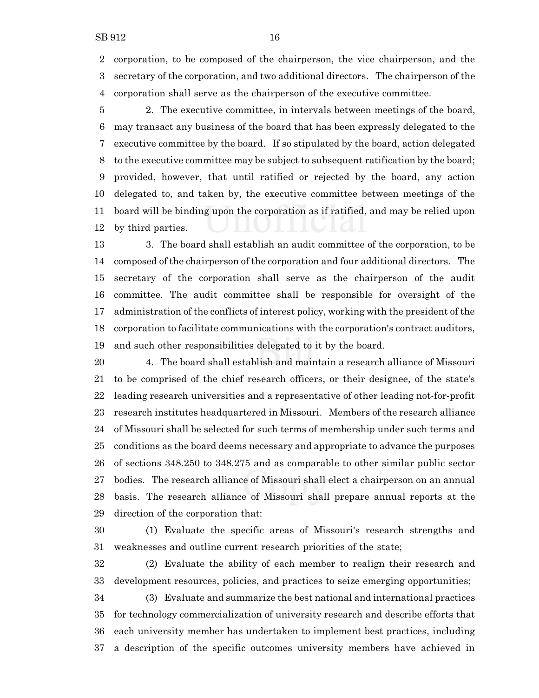corporation, to be composed of the chairperson, the vice chairperson, and the secretary of the corporation, and two additional directors. The chairperson of the corporation shall serve as the chairperson of the executive committee.

 2. The executive committee, in intervals between meetings of the board, may transact any business of the board that has been expressly delegated to the executive committee by the board. If so stipulated by the board, action delegated to the executive committee may be subject to subsequent ratification by the board; provided, however, that until ratified or rejected by the board, any action delegated to, and taken by, the executive committee between meetings of the board will be binding upon the corporation as if ratified, and may be relied upon by third parties.

 3. The board shall establish an audit committee of the corporation, to be composed of the chairperson of the corporation and four additional directors. The secretary of the corporation shall serve as the chairperson of the audit committee. The audit committee shall be responsible for oversight of the administration of the conflicts of interest policy, working with the president of the corporation to facilitate communications with the corporation's contract auditors, and such other responsibilities delegated to it by the board.

 4. The board shall establish and maintain a research alliance of Missouri to be comprised of the chief research officers, or their designee, of the state's leading research universities and a representative of other leading not-for-profit research institutes headquartered in Missouri. Members of the research alliance of Missouri shall be selected for such terms of membership under such terms and conditions as the board deems necessary and appropriate to advance the purposes of sections 348.250 to 348.275 and as comparable to other similar public sector bodies. The research alliance of Missouri shall elect a chairperson on an annual basis. The research alliance of Missouri shall prepare annual reports at the direction of the corporation that:

 (1) Evaluate the specific areas of Missouri's research strengths and weaknesses and outline current research priorities of the state;

 (2) Evaluate the ability of each member to realign their research and development resources, policies, and practices to seize emerging opportunities;

 (3) Evaluate and summarize the best national and international practices for technology commercialization of university research and describe efforts that each university member has undertaken to implement best practices, including a description of the specific outcomes university members have achieved in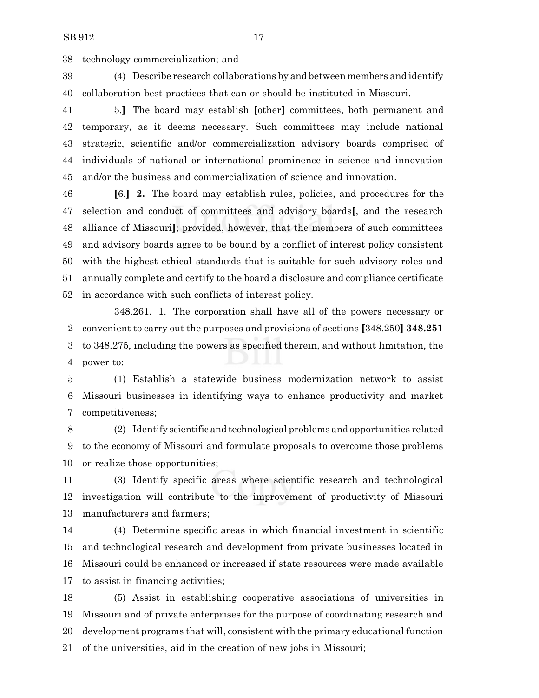technology commercialization; and

 (4) Describe research collaborations by and between members and identify collaboration best practices that can or should be instituted in Missouri.

 5.**]** The board may establish **[**other**]** committees, both permanent and temporary, as it deems necessary. Such committees may include national strategic, scientific and/or commercialization advisory boards comprised of individuals of national or international prominence in science and innovation and/or the business and commercialization of science and innovation.

 **[**6.**] 2.** The board may establish rules, policies, and procedures for the selection and conduct of committees and advisory boards**[**, and the research alliance of Missouri**]**; provided, however, that the members of such committees and advisory boards agree to be bound by a conflict of interest policy consistent with the highest ethical standards that is suitable for such advisory roles and annually complete and certify to the board a disclosure and compliance certificate in accordance with such conflicts of interest policy.

348.261. 1. The corporation shall have all of the powers necessary or convenient to carry out the purposes and provisions of sections **[**348.250**] 348.251** to 348.275, including the powers as specified therein, and without limitation, the power to:

 (1) Establish a statewide business modernization network to assist Missouri businesses in identifying ways to enhance productivity and market competitiveness;

 (2) Identify scientific and technological problems and opportunities related to the economy of Missouri and formulate proposals to overcome those problems or realize those opportunities;

 (3) Identify specific areas where scientific research and technological investigation will contribute to the improvement of productivity of Missouri manufacturers and farmers;

 (4) Determine specific areas in which financial investment in scientific and technological research and development from private businesses located in Missouri could be enhanced or increased if state resources were made available to assist in financing activities;

 (5) Assist in establishing cooperative associations of universities in Missouri and of private enterprises for the purpose of coordinating research and development programs that will, consistent with the primary educational function of the universities, aid in the creation of new jobs in Missouri;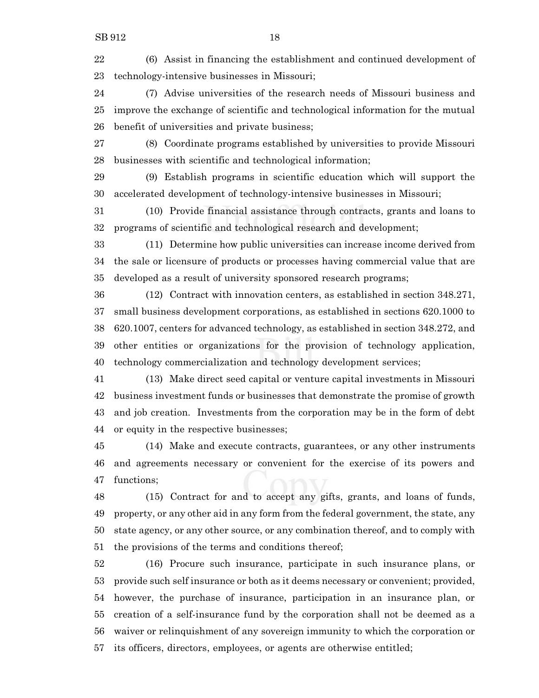(6) Assist in financing the establishment and continued development of technology-intensive businesses in Missouri;

 (7) Advise universities of the research needs of Missouri business and improve the exchange of scientific and technological information for the mutual benefit of universities and private business;

 (8) Coordinate programs established by universities to provide Missouri businesses with scientific and technological information;

 (9) Establish programs in scientific education which will support the accelerated development of technology-intensive businesses in Missouri;

 (10) Provide financial assistance through contracts, grants and loans to programs of scientific and technological research and development;

 (11) Determine how public universities can increase income derived from the sale or licensure of products or processes having commercial value that are developed as a result of university sponsored research programs;

 (12) Contract with innovation centers, as established in section 348.271, small business development corporations, as established in sections 620.1000 to 620.1007, centers for advanced technology, as established in section 348.272, and other entities or organizations for the provision of technology application, technology commercialization and technology development services;

 (13) Make direct seed capital or venture capital investments in Missouri business investment funds or businesses that demonstrate the promise of growth and job creation. Investments from the corporation may be in the form of debt or equity in the respective businesses;

 (14) Make and execute contracts, guarantees, or any other instruments and agreements necessary or convenient for the exercise of its powers and functions;

 (15) Contract for and to accept any gifts, grants, and loans of funds, property, or any other aid in any form from the federal government, the state, any state agency, or any other source, or any combination thereof, and to comply with the provisions of the terms and conditions thereof;

 (16) Procure such insurance, participate in such insurance plans, or provide such self insurance or both as it deems necessary or convenient; provided, however, the purchase of insurance, participation in an insurance plan, or creation of a self-insurance fund by the corporation shall not be deemed as a waiver or relinquishment of any sovereign immunity to which the corporation or its officers, directors, employees, or agents are otherwise entitled;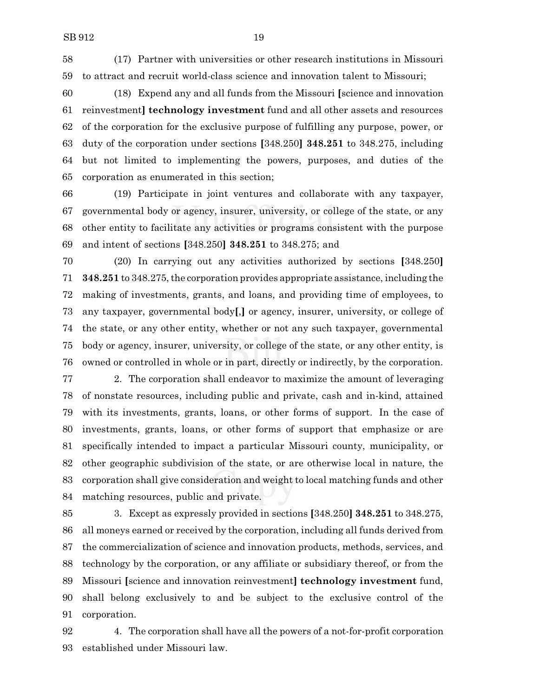(17) Partner with universities or other research institutions in Missouri to attract and recruit world-class science and innovation talent to Missouri;

 (18) Expend any and all funds from the Missouri **[**science and innovation reinvestment**] technology investment** fund and all other assets and resources of the corporation for the exclusive purpose of fulfilling any purpose, power, or duty of the corporation under sections **[**348.250**] 348.251** to 348.275, including but not limited to implementing the powers, purposes, and duties of the corporation as enumerated in this section;

 (19) Participate in joint ventures and collaborate with any taxpayer, governmental body or agency, insurer, university, or college of the state, or any other entity to facilitate any activities or programs consistent with the purpose and intent of sections **[**348.250**] 348.251** to 348.275; and

 (20) In carrying out any activities authorized by sections **[**348.250**] 348.251** to 348.275,the corporation provides appropriate assistance, including the making of investments, grants, and loans, and providing time of employees, to any taxpayer, governmental body**[**,**]** or agency, insurer, university, or college of the state, or any other entity, whether or not any such taxpayer, governmental body or agency, insurer, university, or college of the state, or any other entity, is owned or controlled in whole or in part, directly or indirectly, by the corporation.

 2. The corporation shall endeavor to maximize the amount of leveraging of nonstate resources, including public and private, cash and in-kind, attained with its investments, grants, loans, or other forms of support. In the case of investments, grants, loans, or other forms of support that emphasize or are specifically intended to impact a particular Missouri county, municipality, or other geographic subdivision of the state, or are otherwise local in nature, the corporation shall give consideration and weight to local matching funds and other matching resources, public and private.

 3. Except as expressly provided in sections **[**348.250**] 348.251** to 348.275, all moneys earned or received by the corporation, including all funds derived from the commercialization of science and innovation products, methods, services, and technology by the corporation, or any affiliate or subsidiary thereof, or from the Missouri **[**science and innovation reinvestment**] technology investment** fund, shall belong exclusively to and be subject to the exclusive control of the corporation.

 4. The corporation shall have all the powers of a not-for-profit corporation established under Missouri law.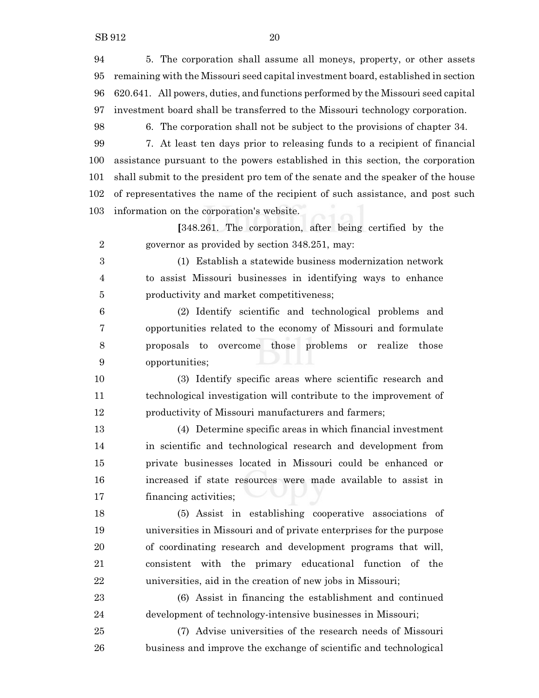5. The corporation shall assume all moneys, property, or other assets remaining with the Missouri seed capital investment board, established in section 620.641. All powers, duties, and functions performed by the Missouri seed capital investment board shall be transferred to the Missouri technology corporation.

6. The corporation shall not be subject to the provisions of chapter 34.

 7. At least ten days prior to releasing funds to a recipient of financial assistance pursuant to the powers established in this section, the corporation shall submit to the president pro tem of the senate and the speaker of the house of representatives the name of the recipient of such assistance, and post such information on the corporation's website.

**[**348.261. The corporation, after being certified by the governor as provided by section 348.251, may:

 (1) Establish a statewide business modernization network to assist Missouri businesses in identifying ways to enhance productivity and market competitiveness;

 (2) Identify scientific and technological problems and opportunities related to the economy of Missouri and formulate proposals to overcome those problems or realize those opportunities;

 (3) Identify specific areas where scientific research and technological investigation will contribute to the improvement of productivity of Missouri manufacturers and farmers;

 (4) Determine specific areas in which financial investment in scientific and technological research and development from private businesses located in Missouri could be enhanced or increased if state resources were made available to assist in financing activities;

 (5) Assist in establishing cooperative associations of universities in Missouri and of private enterprises for the purpose of coordinating research and development programs that will, consistent with the primary educational function of the universities, aid in the creation of new jobs in Missouri;

 (6) Assist in financing the establishment and continued development of technology-intensive businesses in Missouri;

 (7) Advise universities of the research needs of Missouri business and improve the exchange of scientific and technological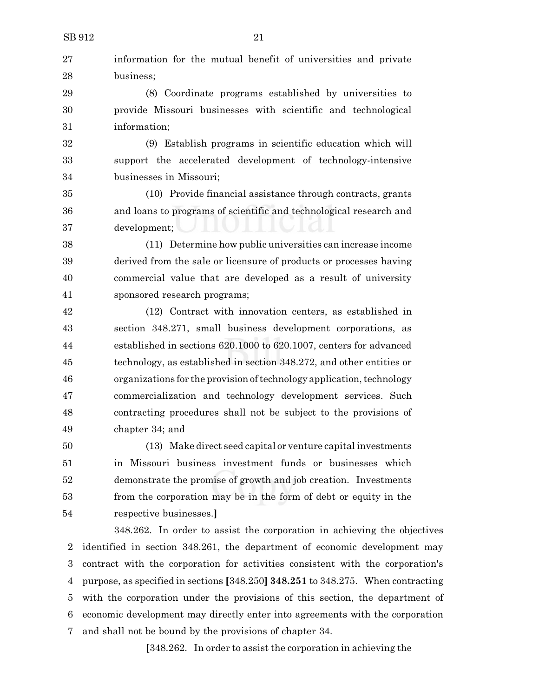| SB 912 | 21                                                                    |
|--------|-----------------------------------------------------------------------|
| 27     | information for the mutual benefit of universities and private        |
| 28     | business;                                                             |
| 29     | (8) Coordinate programs established by universities to                |
| 30     | provide Missouri businesses with scientific and technological         |
| 31     | information;                                                          |
| 32     | (9) Establish programs in scientific education which will             |
| 33     | support the accelerated development of technology-intensive           |
| 34     | businesses in Missouri;                                               |
| 35     | (10) Provide financial assistance through contracts, grants           |
| 36     | and loans to programs of scientific and technological research and    |
| 37     | development;                                                          |
| 38     | (11) Determine how public universities can increase income            |
| 39     | derived from the sale or licensure of products or processes having    |
| 40     | commercial value that are developed as a result of university         |
| 41     | sponsored research programs;                                          |
| 42     | (12) Contract with innovation centers, as established in              |
| 43     | section 348.271, small business development corporations, as          |
| 44     | established in sections 620.1000 to 620.1007, centers for advanced    |
| 45     | technology, as established in section 348.272, and other entities or  |
| 46     | organizations for the provision of technology application, technology |
| 47     | commercialization and technology development services. Such           |
| 48     | contracting procedures shall not be subject to the provisions of      |
| 49     | chapter 34; and                                                       |
| 50     | (13) Make direct seed capital or venture capital investments          |
| 51     | in Missouri business investment funds or businesses which             |
| $52\,$ | demonstrate the promise of growth and job creation. Investments       |
| 53     | from the corporation may be in the form of debt or equity in the      |

respective businesses.**]**

348.262. In order to assist the corporation in achieving the objectives identified in section 348.261, the department of economic development may contract with the corporation for activities consistent with the corporation's purpose, as specified in sections **[**348.250**] 348.251** to 348.275. When contracting with the corporation under the provisions of this section, the department of economic development may directly enter into agreements with the corporation and shall not be bound by the provisions of chapter 34.

**[**348.262. In order to assist the corporation in achieving the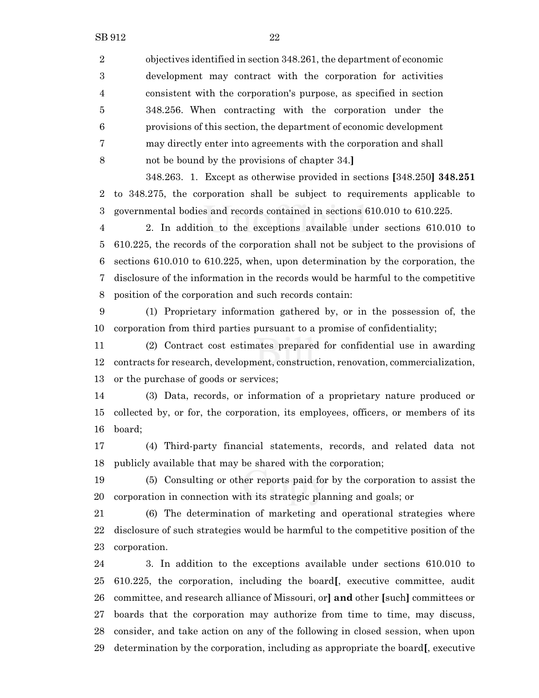objectives identified in section 348.261, the department of economic development may contract with the corporation for activities consistent with the corporation's purpose, as specified in section 348.256. When contracting with the corporation under the provisions of this section, the department of economic development may directly enter into agreements with the corporation and shall not be bound by the provisions of chapter 34.**]**

348.263. 1. Except as otherwise provided in sections **[**348.250**] 348.251** to 348.275, the corporation shall be subject to requirements applicable to governmental bodies and records contained in sections 610.010 to 610.225.

 2. In addition to the exceptions available under sections 610.010 to 610.225, the records of the corporation shall not be subject to the provisions of sections 610.010 to 610.225, when, upon determination by the corporation, the disclosure of the information in the records would be harmful to the competitive position of the corporation and such records contain:

 (1) Proprietary information gathered by, or in the possession of, the corporation from third parties pursuant to a promise of confidentiality;

 (2) Contract cost estimates prepared for confidential use in awarding contracts for research, development, construction, renovation, commercialization, or the purchase of goods or services;

 (3) Data, records, or information of a proprietary nature produced or collected by, or for, the corporation, its employees, officers, or members of its board;

 (4) Third-party financial statements, records, and related data not publicly available that may be shared with the corporation;

 (5) Consulting or other reports paid for by the corporation to assist the corporation in connection with its strategic planning and goals; or

 (6) The determination of marketing and operational strategies where disclosure of such strategies would be harmful to the competitive position of the corporation.

 3. In addition to the exceptions available under sections 610.010 to 610.225, the corporation, including the board**[**, executive committee, audit committee, and research alliance of Missouri, or**] and** other **[**such**]** committees or boards that the corporation may authorize from time to time, may discuss, consider, and take action on any of the following in closed session, when upon determination by the corporation, including as appropriate the board**[**, executive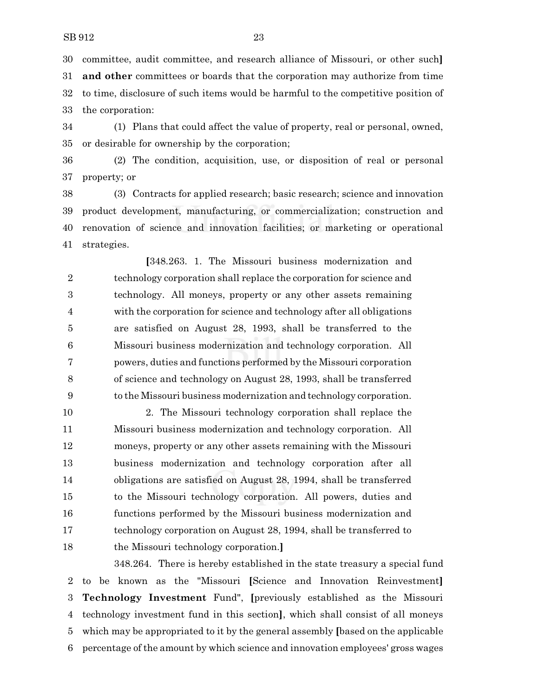committee, audit committee, and research alliance of Missouri, or other such**] and other** committees or boards that the corporation may authorize from time to time, disclosure of such items would be harmful to the competitive position of the corporation:

 (1) Plans that could affect the value of property, real or personal, owned, or desirable for ownership by the corporation;

 (2) The condition, acquisition, use, or disposition of real or personal property; or

 (3) Contracts for applied research; basic research; science and innovation product development, manufacturing, or commercialization; construction and renovation of science and innovation facilities; or marketing or operational strategies.

**[**348.263. 1. The Missouri business modernization and technology corporation shall replace the corporation for science and technology. All moneys, property or any other assets remaining with the corporation for science and technology after all obligations are satisfied on August 28, 1993, shall be transferred to the Missouri business modernization and technology corporation. All powers, duties and functions performed by the Missouri corporation of science and technology on August 28, 1993, shall be transferred to the Missouri business modernization and technology corporation.

 2. The Missouri technology corporation shall replace the Missouri business modernization and technology corporation. All moneys, property or any other assets remaining with the Missouri business modernization and technology corporation after all obligations are satisfied on August 28, 1994, shall be transferred to the Missouri technology corporation. All powers, duties and functions performed by the Missouri business modernization and technology corporation on August 28, 1994, shall be transferred to the Missouri technology corporation.**]**

348.264. There is hereby established in the state treasury a special fund to be known as the "Missouri **[**Science and Innovation Reinvestment**] Technology Investment** Fund", **[**previously established as the Missouri technology investment fund in this section**]**, which shall consist of all moneys which may be appropriated to it by the general assembly **[**based on the applicable percentage of the amount by which science and innovation employees' gross wages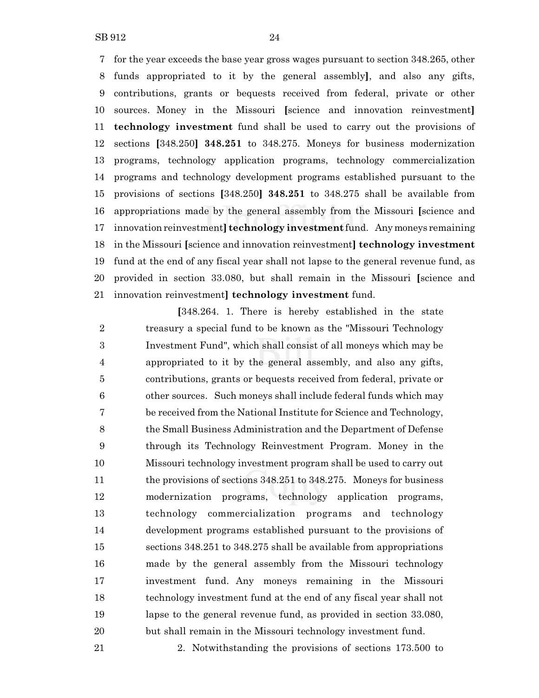SB 912 24

 for the year exceeds the base year gross wages pursuant to section 348.265, other funds appropriated to it by the general assembly**]**, and also any gifts, contributions, grants or bequests received from federal, private or other sources. Money in the Missouri **[**science and innovation reinvestment**] technology investment** fund shall be used to carry out the provisions of sections **[**348.250**] 348.251** to 348.275. Moneys for business modernization programs, technology application programs, technology commercialization programs and technology development programs established pursuant to the provisions of sections **[**348.250**] 348.251** to 348.275 shall be available from appropriations made by the general assembly from the Missouri **[**science and innovation reinvestment**] technology investment** fund. Anymoneys remaining in the Missouri **[**science and innovation reinvestment**] technology investment** fund at the end of any fiscal year shall not lapse to the general revenue fund, as provided in section 33.080, but shall remain in the Missouri **[**science and innovation reinvestment**] technology investment** fund.

**[**348.264. 1. There is hereby established in the state treasury a special fund to be known as the "Missouri Technology Investment Fund", which shall consist of all moneys which may be appropriated to it by the general assembly, and also any gifts, contributions, grants or bequests received from federal, private or other sources. Such moneys shall include federal funds which may be received from the National Institute for Science and Technology, the Small Business Administration and the Department of Defense through its Technology Reinvestment Program. Money in the Missouri technology investment program shall be used to carry out the provisions of sections 348.251 to 348.275. Moneys for business modernization programs, technology application programs, technology commercialization programs and technology development programs established pursuant to the provisions of sections 348.251 to 348.275 shall be available from appropriations made by the general assembly from the Missouri technology investment fund. Any moneys remaining in the Missouri technology investment fund at the end of any fiscal year shall not lapse to the general revenue fund, as provided in section 33.080, but shall remain in the Missouri technology investment fund.

2. Notwithstanding the provisions of sections 173.500 to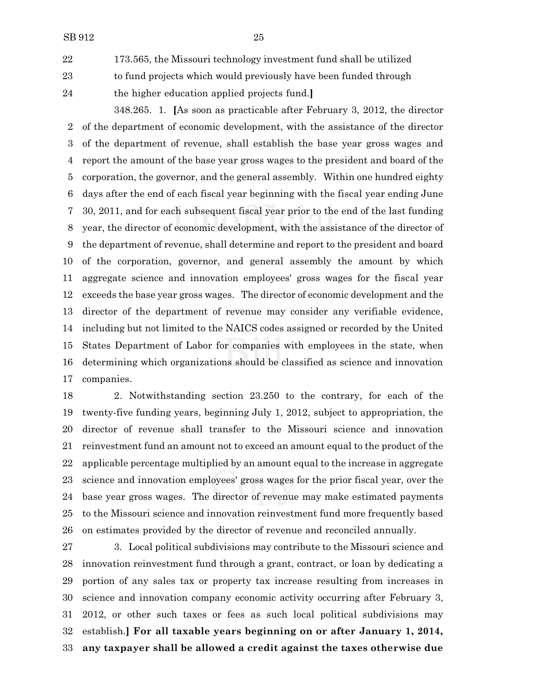173.565, the Missouri technology investment fund shall be utilized to fund projects which would previously have been funded through the higher education applied projects fund.**]**

348.265. 1. **[**As soon as practicable after February 3, 2012, the director of the department of economic development, with the assistance of the director of the department of revenue, shall establish the base year gross wages and report the amount of the base year gross wages to the president and board of the corporation, the governor, and the general assembly. Within one hundred eighty days after the end of each fiscal year beginning with the fiscal year ending June 30, 2011, and for each subsequent fiscal year prior to the end of the last funding year, the director of economic development, with the assistance of the director of the department of revenue, shall determine and report to the president and board of the corporation, governor, and general assembly the amount by which aggregate science and innovation employees' gross wages for the fiscal year exceeds the base year gross wages. The director of economic development and the director of the department of revenue may consider any verifiable evidence, including but not limited to the NAICS codes assigned or recorded by the United States Department of Labor for companies with employees in the state, when determining which organizations should be classified as science and innovation companies.

 2. Notwithstanding section 23.250 to the contrary, for each of the twenty-five funding years, beginning July 1, 2012, subject to appropriation, the director of revenue shall transfer to the Missouri science and innovation reinvestment fund an amount not to exceed an amount equal to the product of the applicable percentage multiplied by an amount equal to the increase in aggregate science and innovation employees' gross wages for the prior fiscal year, over the base year gross wages. The director of revenue may make estimated payments to the Missouri science and innovation reinvestment fund more frequently based on estimates provided by the director of revenue and reconciled annually.

 3. Local political subdivisions may contribute to the Missouri science and innovation reinvestment fund through a grant, contract, or loan by dedicating a portion of any sales tax or property tax increase resulting from increases in science and innovation company economic activity occurring after February 3, 2012, or other such taxes or fees as such local political subdivisions may establish.**] For all taxable years beginning on or after January 1, 2014, any taxpayer shall be allowed a credit against the taxes otherwise due**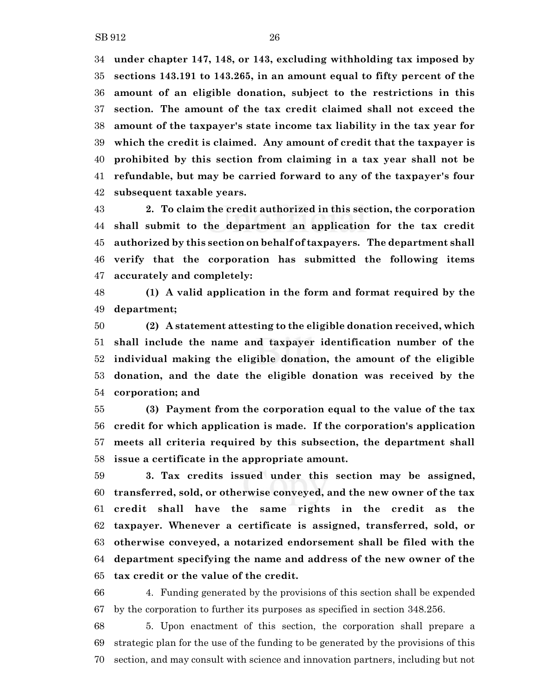**under chapter 147, 148, or 143, excluding withholding tax imposed by sections 143.191 to 143.265, in an amount equal to fifty percent of the amount of an eligible donation, subject to the restrictions in this section. The amount of the tax credit claimed shall not exceed the amount of the taxpayer's state income tax liability in the tax year for which the credit is claimed. Any amount of credit that the taxpayer is prohibited by this section from claiming in a tax year shall not be refundable, but may be carried forward to any of the taxpayer's four subsequent taxable years.**

 **2. To claim the credit authorized in this section, the corporation shall submit to the department an application for the tax credit authorized by this section on behalf of taxpayers. The department shall verify that the corporation has submitted the following items accurately and completely:**

 **(1) A valid application in the form and format required by the department;**

 **(2) A statement attesting to the eligible donation received, which shall include the name and taxpayer identification number of the individual making the eligible donation, the amount of the eligible donation, and the date the eligible donation was received by the corporation; and**

 **(3) Payment from the corporation equal to the value of the tax credit for which application is made. If the corporation's application meets all criteria required by this subsection, the department shall issue a certificate in the appropriate amount.**

 **3. Tax credits issued under this section may be assigned, transferred, sold, or otherwise conveyed, and the new owner of the tax credit shall have the same rights in the credit as the taxpayer. Whenever a certificate is assigned, transferred, sold, or otherwise conveyed, a notarized endorsement shall be filed with the department specifying the name and address of the new owner of the tax credit or the value of the credit.**

 4. Funding generated by the provisions of this section shall be expended by the corporation to further its purposes as specified in section 348.256.

 5. Upon enactment of this section, the corporation shall prepare a strategic plan for the use of the funding to be generated by the provisions of this section, and may consult with science and innovation partners, including but not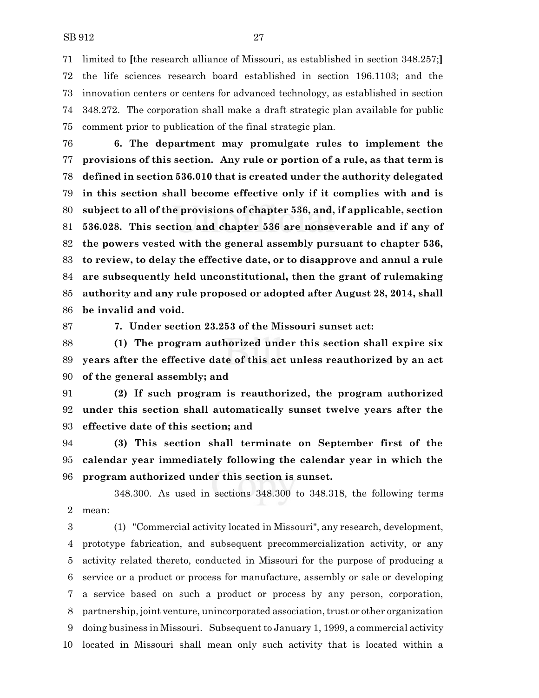limited to **[**the research alliance of Missouri, as established in section 348.257;**]** the life sciences research board established in section 196.1103; and the innovation centers or centers for advanced technology, as established in section 348.272. The corporation shall make a draft strategic plan available for public comment prior to publication of the final strategic plan.

 **6. The department may promulgate rules to implement the provisions of this section. Any rule or portion of a rule, as that term is defined in section 536.010 that is created under the authority delegated in this section shall become effective only if it complies with and is subject to all of the provisions of chapter 536, and, if applicable, section 536.028. This section and chapter 536 are nonseverable and if any of the powers vested with the general assembly pursuant to chapter 536, to review, to delay the effective date, or to disapprove and annul a rule are subsequently held unconstitutional, then the grant of rulemaking authority and any rule proposed or adopted after August 28, 2014, shall be invalid and void.**

**7. Under section 23.253 of the Missouri sunset act:**

 **(1) The program authorized under this section shall expire six years after the effective date of this act unless reauthorized by an act of the general assembly; and**

 **(2) If such program is reauthorized, the program authorized under this section shall automatically sunset twelve years after the effective date of this section; and**

 **(3) This section shall terminate on September first of the calendar year immediately following the calendar year in which the program authorized under this section is sunset.**

348.300. As used in sections 348.300 to 348.318, the following terms mean:

 (1) "Commercial activity located in Missouri", any research, development, prototype fabrication, and subsequent precommercialization activity, or any activity related thereto, conducted in Missouri for the purpose of producing a service or a product or process for manufacture, assembly or sale or developing a service based on such a product or process by any person, corporation, 8 partnership, joint venture, unincorporated association, trust or other organization doing business in Missouri. Subsequent to January 1, 1999, a commercial activity located in Missouri shall mean only such activity that is located within a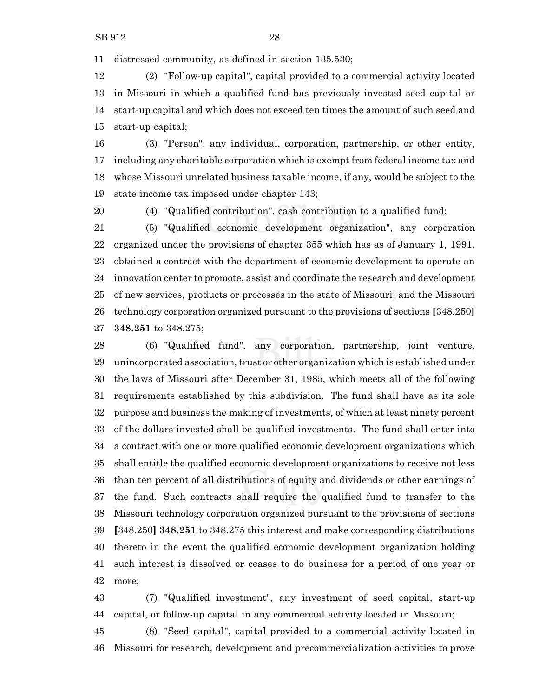distressed community, as defined in section 135.530;

 (2) "Follow-up capital", capital provided to a commercial activity located in Missouri in which a qualified fund has previously invested seed capital or start-up capital and which does not exceed ten times the amount of such seed and start-up capital;

 (3) "Person", any individual, corporation, partnership, or other entity, including any charitable corporation which is exempt from federal income tax and whose Missouri unrelated business taxable income, if any, would be subject to the state income tax imposed under chapter 143;

(4) "Qualified contribution", cash contribution to a qualified fund;

 (5) "Qualified economic development organization", any corporation organized under the provisions of chapter 355 which has as of January 1, 1991, obtained a contract with the department of economic development to operate an innovation center to promote, assist and coordinate the research and development of new services, products or processes in the state of Missouri; and the Missouri technology corporation organized pursuant to the provisions of sections **[**348.250**] 348.251** to 348.275;

 (6) "Qualified fund", any corporation, partnership, joint venture, 29 unincorporated association, trust or other organization which is established under the laws of Missouri after December 31, 1985, which meets all of the following requirements established by this subdivision. The fund shall have as its sole purpose and business the making of investments, of which at least ninety percent of the dollars invested shall be qualified investments. The fund shall enter into a contract with one or more qualified economic development organizations which shall entitle the qualified economic development organizations to receive not less than ten percent of all distributions of equity and dividends or other earnings of the fund. Such contracts shall require the qualified fund to transfer to the Missouri technology corporation organized pursuant to the provisions of sections **[**348.250**] 348.251** to 348.275 this interest and make corresponding distributions thereto in the event the qualified economic development organization holding such interest is dissolved or ceases to do business for a period of one year or more;

 (7) "Qualified investment", any investment of seed capital, start-up capital, or follow-up capital in any commercial activity located in Missouri;

 (8) "Seed capital", capital provided to a commercial activity located in Missouri for research, development and precommercialization activities to prove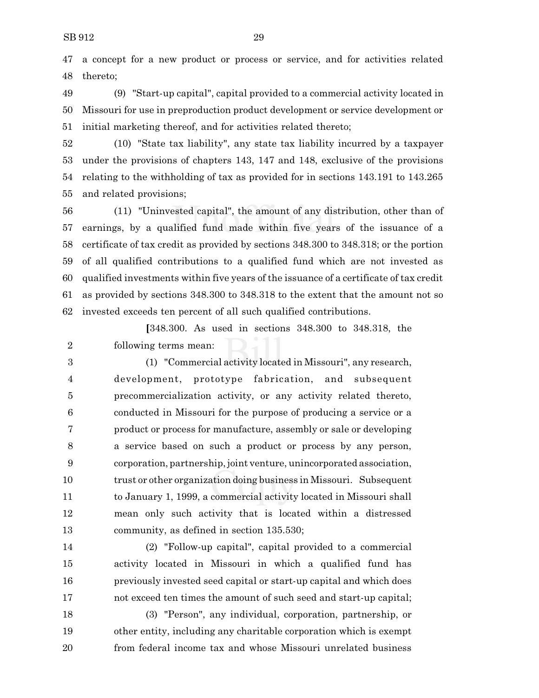a concept for a new product or process or service, and for activities related thereto;

 (9) "Start-up capital", capital provided to a commercial activity located in Missouri for use in preproduction product development or service development or initial marketing thereof, and for activities related thereto;

 (10) "State tax liability", any state tax liability incurred by a taxpayer under the provisions of chapters 143, 147 and 148, exclusive of the provisions relating to the withholding of tax as provided for in sections 143.191 to 143.265 and related provisions;

 (11) "Uninvested capital", the amount of any distribution, other than of earnings, by a qualified fund made within five years of the issuance of a certificate of tax credit as provided by sections 348.300 to 348.318; or the portion of all qualified contributions to a qualified fund which are not invested as qualified investments within five years of the issuance of a certificate of tax credit as provided by sections 348.300 to 348.318 to the extent that the amount not so invested exceeds ten percent of all such qualified contributions.

**[**348.300. As used in sections 348.300 to 348.318, the following terms mean:

 (1) "Commercial activity located in Missouri", any research, development, prototype fabrication, and subsequent precommercialization activity, or any activity related thereto, conducted in Missouri for the purpose of producing a service or a product or process for manufacture, assembly or sale or developing a service based on such a product or process by any person, corporation, partnership, joint venture, unincorporated association, trust or other organization doing business in Missouri. Subsequent to January 1, 1999, a commercial activity located in Missouri shall mean only such activity that is located within a distressed community, as defined in section 135.530;

 (2) "Follow-up capital", capital provided to a commercial activity located in Missouri in which a qualified fund has previously invested seed capital or start-up capital and which does not exceed ten times the amount of such seed and start-up capital;

 (3) "Person", any individual, corporation, partnership, or other entity, including any charitable corporation which is exempt from federal income tax and whose Missouri unrelated business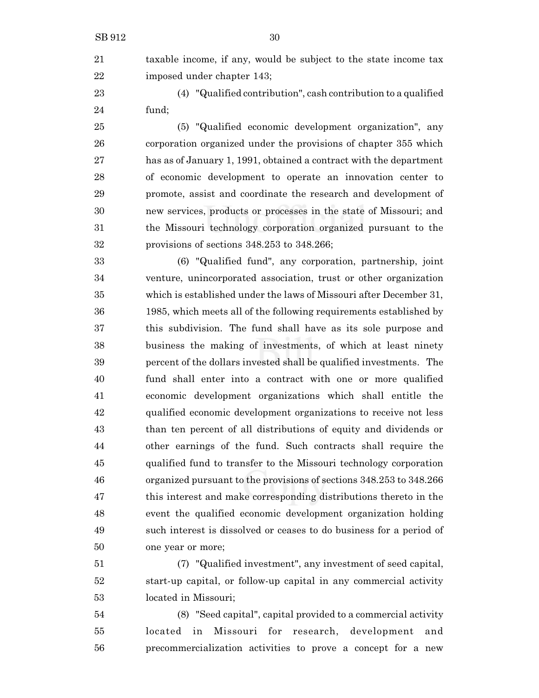taxable income, if any, would be subject to the state income tax imposed under chapter 143;

 (4) "Qualified contribution", cash contribution to a qualified fund;

 (5) "Qualified economic development organization", any corporation organized under the provisions of chapter 355 which has as of January 1, 1991, obtained a contract with the department of economic development to operate an innovation center to promote, assist and coordinate the research and development of new services, products or processes in the state of Missouri; and the Missouri technology corporation organized pursuant to the provisions of sections 348.253 to 348.266;

 (6) "Qualified fund", any corporation, partnership, joint venture, unincorporated association, trust or other organization which is established under the laws of Missouri after December 31, 1985, which meets all of the following requirements established by this subdivision. The fund shall have as its sole purpose and business the making of investments, of which at least ninety percent of the dollars invested shall be qualified investments. The fund shall enter into a contract with one or more qualified economic development organizations which shall entitle the qualified economic development organizations to receive not less than ten percent of all distributions of equity and dividends or other earnings of the fund. Such contracts shall require the qualified fund to transfer to the Missouri technology corporation organized pursuant to the provisions of sections 348.253 to 348.266 this interest and make corresponding distributions thereto in the event the qualified economic development organization holding such interest is dissolved or ceases to do business for a period of one year or more;

 (7) "Qualified investment", any investment of seed capital, start-up capital, or follow-up capital in any commercial activity located in Missouri;

 (8) "Seed capital", capital provided to a commercial activity located in Missouri for research, development and precommercialization activities to prove a concept for a new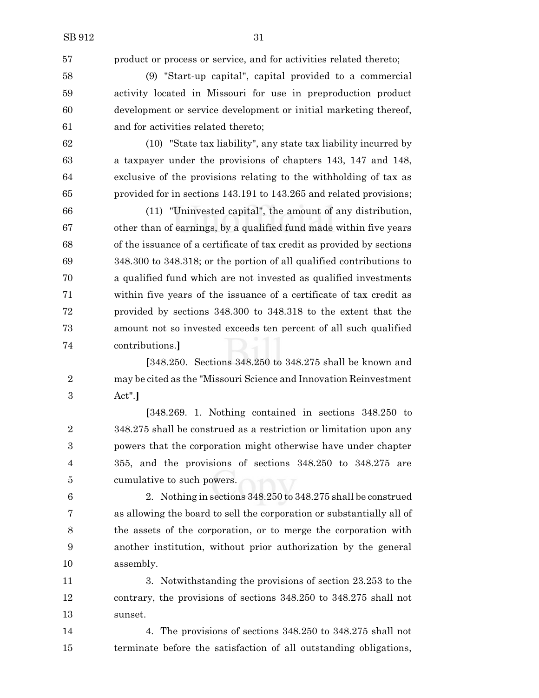product or process or service, and for activities related thereto;

 (9) "Start-up capital", capital provided to a commercial activity located in Missouri for use in preproduction product development or service development or initial marketing thereof, and for activities related thereto;

 (10) "State tax liability", any state tax liability incurred by a taxpayer under the provisions of chapters 143, 147 and 148, exclusive of the provisions relating to the withholding of tax as provided for in sections 143.191 to 143.265 and related provisions;

 (11) "Uninvested capital", the amount of any distribution, other than of earnings, by a qualified fund made within five years of the issuance of a certificate of tax credit as provided by sections 348.300 to 348.318; or the portion of all qualified contributions to a qualified fund which are not invested as qualified investments within five years of the issuance of a certificate of tax credit as provided by sections 348.300 to 348.318 to the extent that the amount not so invested exceeds ten percent of all such qualified contributions.**]**

**[**348.250. Sections 348.250 to 348.275 shall be known and may be cited as the "Missouri Science and Innovation Reinvestment Act".**]**

**[**348.269. 1. Nothing contained in sections 348.250 to 348.275 shall be construed as a restriction or limitation upon any powers that the corporation might otherwise have under chapter 355, and the provisions of sections 348.250 to 348.275 are cumulative to such powers.

 2. Nothing in sections 348.250 to 348.275 shall be construed as allowing the board to sell the corporation or substantially all of the assets of the corporation, or to merge the corporation with another institution, without prior authorization by the general assembly.

 3. Notwithstanding the provisions of section 23.253 to the contrary, the provisions of sections 348.250 to 348.275 shall not sunset.

 4. The provisions of sections 348.250 to 348.275 shall not terminate before the satisfaction of all outstanding obligations,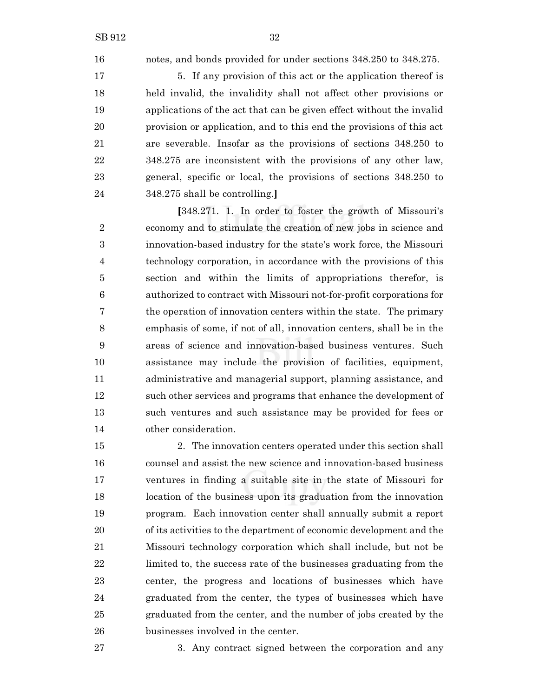notes, and bonds provided for under sections 348.250 to 348.275.

17 5. If any provision of this act or the application thereof is held invalid, the invalidity shall not affect other provisions or applications of the act that can be given effect without the invalid provision or application, and to this end the provisions of this act are severable. Insofar as the provisions of sections 348.250 to 348.275 are inconsistent with the provisions of any other law, general, specific or local, the provisions of sections 348.250 to 348.275 shall be controlling.**]**

**[**348.271. 1. In order to foster the growth of Missouri's economy and to stimulate the creation of new jobs in science and innovation-based industry for the state's work force, the Missouri technology corporation, in accordance with the provisions of this section and within the limits of appropriations therefor, is authorized to contract with Missouri not-for-profit corporations for the operation of innovation centers within the state. The primary emphasis of some, if not of all, innovation centers, shall be in the areas of science and innovation-based business ventures. Such assistance may include the provision of facilities, equipment, administrative and managerial support, planning assistance, and such other services and programs that enhance the development of such ventures and such assistance may be provided for fees or other consideration.

 2. The innovation centers operated under this section shall counsel and assist the new science and innovation-based business ventures in finding a suitable site in the state of Missouri for location of the business upon its graduation from the innovation program. Each innovation center shall annually submit a report of its activities to the department of economic development and the Missouri technology corporation which shall include, but not be limited to, the success rate of the businesses graduating from the center, the progress and locations of businesses which have graduated from the center, the types of businesses which have graduated from the center, and the number of jobs created by the businesses involved in the center.

3. Any contract signed between the corporation and any